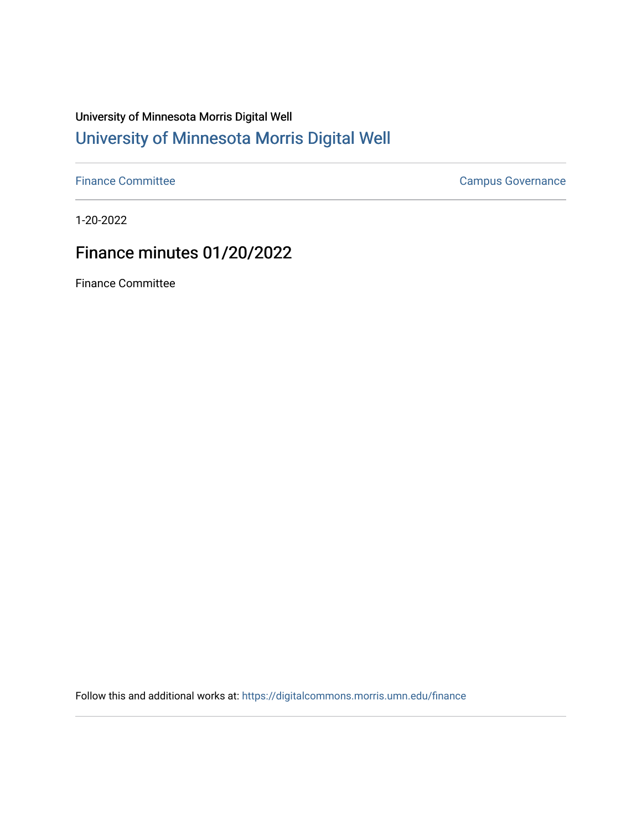# University of Minnesota Morris Digital Well [University of Minnesota Morris Digital Well](https://digitalcommons.morris.umn.edu/)

[Finance Committee](https://digitalcommons.morris.umn.edu/finance) **Campus Governance** Campus Governance

1-20-2022

## Finance minutes 01/20/2022

Finance Committee

Follow this and additional works at: [https://digitalcommons.morris.umn.edu/finance](https://digitalcommons.morris.umn.edu/finance?utm_source=digitalcommons.morris.umn.edu%2Ffinance%2F157&utm_medium=PDF&utm_campaign=PDFCoverPages)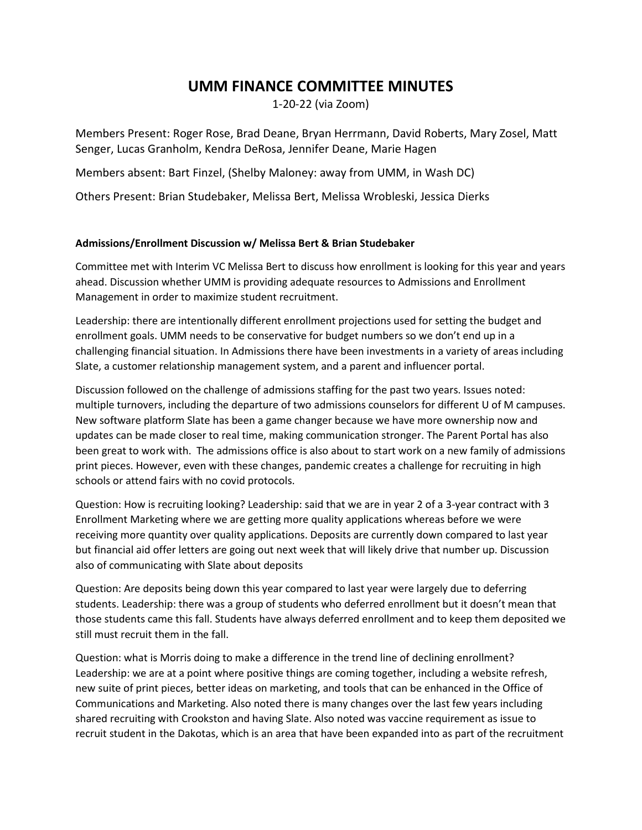### **UMM FINANCE COMMITTEE MINUTES**

1-20-22 (via Zoom)

Members Present: Roger Rose, Brad Deane, Bryan Herrmann, David Roberts, Mary Zosel, Matt Senger, Lucas Granholm, Kendra DeRosa, Jennifer Deane, Marie Hagen

Members absent: Bart Finzel, (Shelby Maloney: away from UMM, in Wash DC)

Others Present: Brian Studebaker, Melissa Bert, Melissa Wrobleski, Jessica Dierks

### **Admissions/Enrollment Discussion w/ Melissa Bert & Brian Studebaker**

Committee met with Interim VC Melissa Bert to discuss how enrollment is looking for this year and years ahead. Discussion whether UMM is providing adequate resources to Admissions and Enrollment Management in order to maximize student recruitment.

Leadership: there are intentionally different enrollment projections used for setting the budget and enrollment goals. UMM needs to be conservative for budget numbers so we don't end up in a challenging financial situation. In Admissions there have been investments in a variety of areas including Slate, a customer relationship management system, and a parent and influencer portal.

Discussion followed on the challenge of admissions staffing for the past two years. Issues noted: multiple turnovers, including the departure of two admissions counselors for different U of M campuses. New software platform Slate has been a game changer because we have more ownership now and updates can be made closer to real time, making communication stronger. The Parent Portal has also been great to work with. The admissions office is also about to start work on a new family of admissions print pieces. However, even with these changes, pandemic creates a challenge for recruiting in high schools or attend fairs with no covid protocols.

Question: How is recruiting looking? Leadership: said that we are in year 2 of a 3-year contract with 3 Enrollment Marketing where we are getting more quality applications whereas before we were receiving more quantity over quality applications. Deposits are currently down compared to last year but financial aid offer letters are going out next week that will likely drive that number up. Discussion also of communicating with Slate about deposits

Question: Are deposits being down this year compared to last year were largely due to deferring students. Leadership: there was a group of students who deferred enrollment but it doesn't mean that those students came this fall. Students have always deferred enrollment and to keep them deposited we still must recruit them in the fall.

Question: what is Morris doing to make a difference in the trend line of declining enrollment? Leadership: we are at a point where positive things are coming together, including a website refresh, new suite of print pieces, better ideas on marketing, and tools that can be enhanced in the Office of Communications and Marketing. Also noted there is many changes over the last few years including shared recruiting with Crookston and having Slate. Also noted was vaccine requirement as issue to recruit student in the Dakotas, which is an area that have been expanded into as part of the recruitment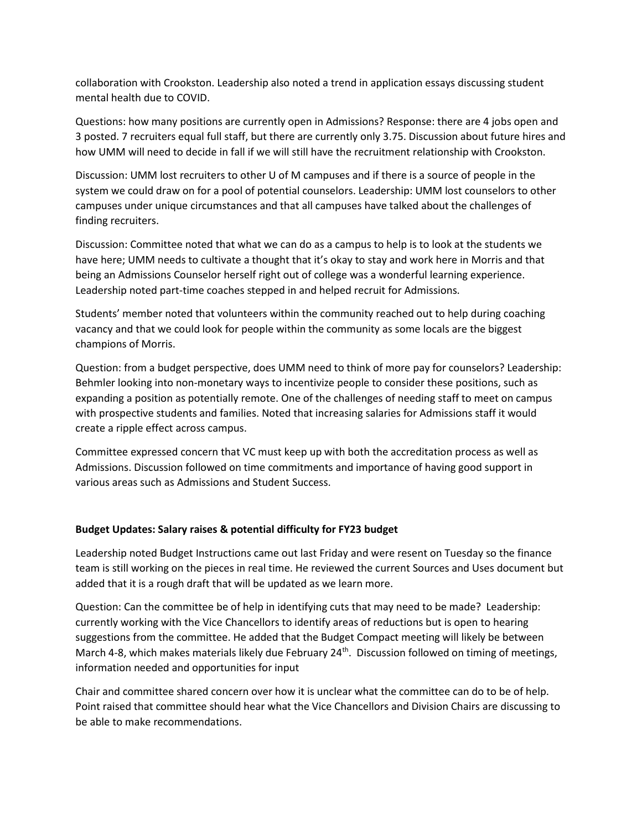collaboration with Crookston. Leadership also noted a trend in application essays discussing student mental health due to COVID.

Questions: how many positions are currently open in Admissions? Response: there are 4 jobs open and 3 posted. 7 recruiters equal full staff, but there are currently only 3.75. Discussion about future hires and how UMM will need to decide in fall if we will still have the recruitment relationship with Crookston.

Discussion: UMM lost recruiters to other U of M campuses and if there is a source of people in the system we could draw on for a pool of potential counselors. Leadership: UMM lost counselors to other campuses under unique circumstances and that all campuses have talked about the challenges of finding recruiters.

Discussion: Committee noted that what we can do as a campus to help is to look at the students we have here; UMM needs to cultivate a thought that it's okay to stay and work here in Morris and that being an Admissions Counselor herself right out of college was a wonderful learning experience. Leadership noted part-time coaches stepped in and helped recruit for Admissions.

Students' member noted that volunteers within the community reached out to help during coaching vacancy and that we could look for people within the community as some locals are the biggest champions of Morris.

Question: from a budget perspective, does UMM need to think of more pay for counselors? Leadership: Behmler looking into non-monetary ways to incentivize people to consider these positions, such as expanding a position as potentially remote. One of the challenges of needing staff to meet on campus with prospective students and families. Noted that increasing salaries for Admissions staff it would create a ripple effect across campus.

Committee expressed concern that VC must keep up with both the accreditation process as well as Admissions. Discussion followed on time commitments and importance of having good support in various areas such as Admissions and Student Success.

### **Budget Updates: Salary raises & potential difficulty for FY23 budget**

Leadership noted Budget Instructions came out last Friday and were resent on Tuesday so the finance team is still working on the pieces in real time. He reviewed the current Sources and Uses document but added that it is a rough draft that will be updated as we learn more.

Question: Can the committee be of help in identifying cuts that may need to be made? Leadership: currently working with the Vice Chancellors to identify areas of reductions but is open to hearing suggestions from the committee. He added that the Budget Compact meeting will likely be between March 4-8, which makes materials likely due February 24<sup>th</sup>. Discussion followed on timing of meetings, information needed and opportunities for input

Chair and committee shared concern over how it is unclear what the committee can do to be of help. Point raised that committee should hear what the Vice Chancellors and Division Chairs are discussing to be able to make recommendations.